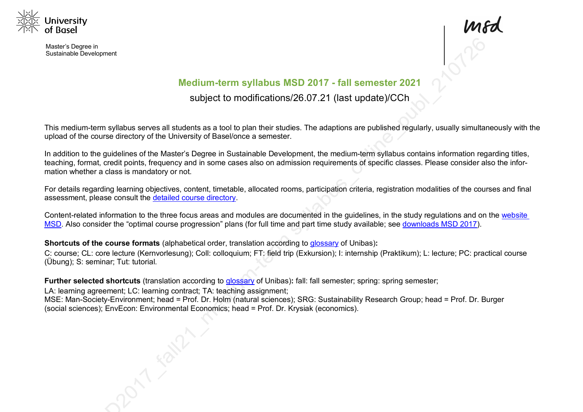

Master's Degree in Sustainable Development



# **Medium-term syllabus MSD 2017 - fall semester 2021**

subject to modifications/26.07.21 (last update)/CCh

This medium-term syllabus serves all students as a tool to plan their studies. The adaptions are published regularly, usually simultaneously with the upload of the course directory of the University of Basel/once a semester.

In addition to the guidelines of the Master's Degree in Sustainable Development, the medium-term syllabus contains information regarding titles, teaching, format, credit points, frequency and in some cases also on admission requirements of specific classes. Please consider also the information whether a class is mandatory or not.

For details regarding learning objectives, content, timetable, allocated rooms, participation criteria, registration modalities of the courses and final assessment, please consult the detailed course directory.

Content-related information to the three focus areas and modules are documented in the guidelines, in the study regulations and on the website MSD. Also consider the "optimal course progression" plans (for full time and part time study available; see downloads MSD 2017).

**Shortcuts of the course formats** (alphabetical order, translation according to glossary of Unibas)**:**

C: course; CL: core lecture (Kernvorlesung); Coll: colloquium; FT: field trip (Exkursion); I: internship (Praktikum); L: lecture; PC: practical course (Übung); S: seminar; Tut: tutorial.

**Further selected shortcuts** (translation according to glossary of Unibas)**:** fall: fall semester; spring: spring semester;

LA: learning agreement; LC: learning contract; TA: teaching assignment; MSE: Man-Society-Environment; head = Prof. Dr. Holm (natural sciences); SRG: Sustainability Research Group; head = Prof. Dr. Burger (social sciences); EnvEcon: Environmental Economics; head = Prof. Dr. Krysiak (economics).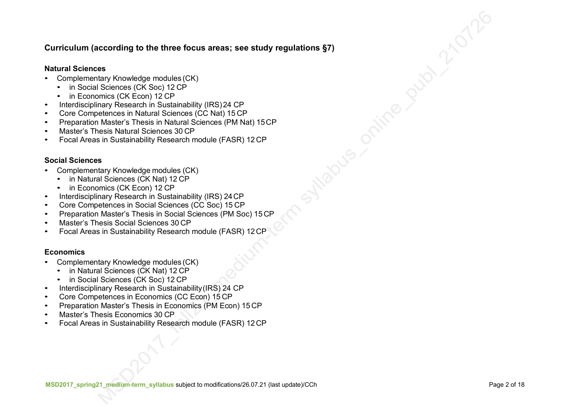### **Curriculum (according to the three focus areas; see study regulations §7)**

#### **Natural Sciences**

- Complementary Knowledge modules (CK)
	- in Social Sciences (CK Soc) 12 CP
	- in Economics (CK Econ) 12 CP
- Interdisciplinary Research in Sustainability (IRS)24 CP
- Core Competences in Natural Sciences (CC Nat) 15 CP
- Preparation Master's Thesis in Natural Sciences (PM Nat) 15CP
- Master's Thesis Natural Sciences 30 CP
- Focal Areas in Sustainability Research module (FASR) 12 CP

#### **Social Sciences**

- Complementary Knowledge modules (CK)
	- in Natural Sciences (CK Nat) 12 CP
	- in Economics (CK Econ) 12 CP
- Interdisciplinary Research in Sustainability (IRS) 24CP
- Core Competences in Social Sciences (CC Soc) 15 CP
- Preparation Master's Thesis in Social Sciences (PM Soc) 15 CP
- Master's Thesis Social Sciences 30 CP
- Focal Areas in Sustainability Research module (FASR) 12CP

#### **Economics**

- Complementary Knowledge modules (CK)
	- in Natural Sciences (CK Nat) 12 CP
	- in Social Sciences (CK Soc) 12 CP
- Interdisciplinary Research in Sustainability(IRS) 24 CP
- Core Competences in Economics (CC Econ) 15 CP
- Preparation Master's Thesis in Economics (PM Econ) 15 CP
- Master's Thesis Economics 30 CP
- Focal Areas in Sustainability Research module (FASR) 12CP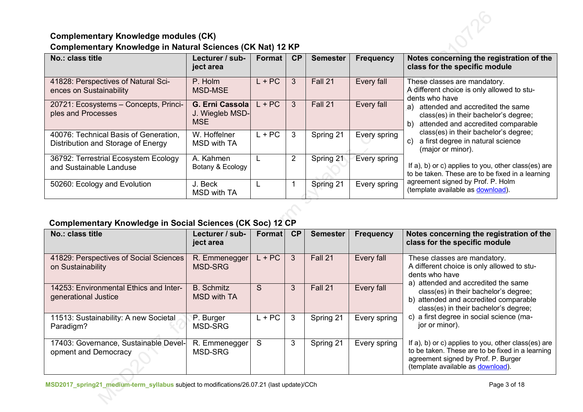## **Complementary Knowledge modules (CK) Complementary Knowledge in Natural Sciences (CK Nat) 12 KP**

| No.: class title                                                            | Lecturer / sub-<br>ject area                     | Format   | <b>CP</b>      | <b>Semester</b> | <b>Frequency</b> | Notes concerning the registration of the<br>class for the specific module                                                                                                                                                            |
|-----------------------------------------------------------------------------|--------------------------------------------------|----------|----------------|-----------------|------------------|--------------------------------------------------------------------------------------------------------------------------------------------------------------------------------------------------------------------------------------|
| 41828: Perspectives of Natural Sci-<br>ences on Sustainability              | P. Holm<br><b>MSD-MSE</b>                        | $L + PC$ | 3              | Fall 21         | Every fall       | These classes are mandatory.<br>A different choice is only allowed to stu-<br>dents who have                                                                                                                                         |
| 20721: Ecosystems - Concepts, Princi-<br>ples and Processes                 | G. Erni Cassola<br>J. Wiegleb MSD-<br><b>MSE</b> | $L + PC$ | 3              | Fall 21         | Every fall       | attended and accredited the same<br>a)<br>class(es) in their bachelor's degree;<br>attended and accredited comparable<br>b)<br>class(es) in their bachelor's degree;<br>a first degree in natural science<br>C)<br>(major or minor). |
| 40076: Technical Basis of Generation,<br>Distribution and Storage of Energy | W. Hoffelner<br>MSD with TA                      | $L + PC$ | 3              | Spring 21       | Every spring     |                                                                                                                                                                                                                                      |
| 36792: Terrestrial Ecosystem Ecology<br>and Sustainable Landuse             | A. Kahmen<br>Botany & Ecology                    |          | $\overline{2}$ | Spring 21       | Every spring     | If a), b) or c) applies to you, other class(es) are<br>to be taken. These are to be fixed in a learning                                                                                                                              |
| 50260: Ecology and Evolution                                                | J. Beck<br><b>MSD with TA</b>                    |          |                | Spring 21       | Every spring     | agreement signed by Prof. P. Holm<br>(template available as download).                                                                                                                                                               |

### **Complementary Knowledge in Social Sciences (CK Soc) 12 CP**

| No.: class title                                               | Lecturer / sub-<br>ject area     | Format   | CP | <b>Semester</b> | <b>Frequency</b> | Notes concerning the registration of the<br>class for the specific module                                                                                                           |
|----------------------------------------------------------------|----------------------------------|----------|----|-----------------|------------------|-------------------------------------------------------------------------------------------------------------------------------------------------------------------------------------|
| 41829: Perspectives of Social Sciences<br>on Sustainability    | R. Emmenegger<br><b>MSD-SRG</b>  | $L + PC$ | 3  | Fall 21         | Every fall       | These classes are mandatory.<br>A different choice is only allowed to stu-<br>dents who have<br>a) attended and accredited the same                                                 |
| 14253: Environmental Ethics and Inter-<br>generational Justice | <b>B.</b> Schmitz<br>MSD with TA | S        | 3  | Fall 21         | Every fall       | class(es) in their bachelor's degree;<br>b) attended and accredited comparable<br>class(es) in their bachelor's degree;                                                             |
| 11513: Sustainability: A new Societal<br>Paradigm?             | P. Burger<br>MSD-SRG             | $L + PC$ | 3  | Spring 21       | Every spring     | c) a first degree in social science (ma-<br>jor or minor).                                                                                                                          |
| 17403: Governance, Sustainable Devel-<br>opment and Democracy  | R. Emmenegger<br>MSD-SRG         | S        | 3  | Spring 21       | Every spring     | If a), b) or c) applies to you, other class(es) are<br>to be taken. These are to be fixed in a learning<br>agreement signed by Prof. P. Burger<br>(template available as download). |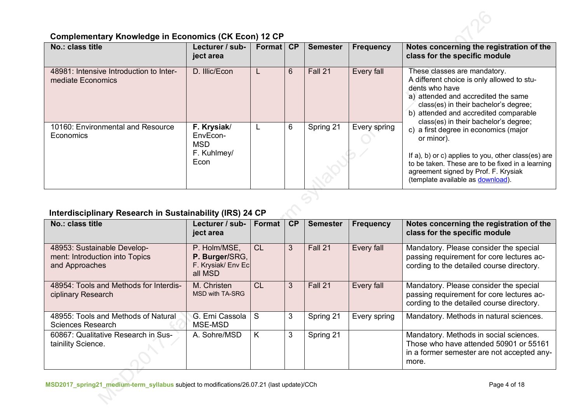

# **Complementary Knowledge in Economics (CK Econ) 12 CP**

| No.: class title                                             | Lecturer / sub-<br>ject area                                 | Format | CP | <b>Semester</b> | <b>Frequency</b> | Notes concerning the registration of the<br>class for the specific module                                                                                                                                                                                      |
|--------------------------------------------------------------|--------------------------------------------------------------|--------|----|-----------------|------------------|----------------------------------------------------------------------------------------------------------------------------------------------------------------------------------------------------------------------------------------------------------------|
| 48981: Intensive Introduction to Inter-<br>mediate Economics | D. Illic/Econ                                                |        | 6  | Fall 21         | Every fall       | These classes are mandatory.<br>A different choice is only allowed to stu-<br>dents who have<br>a) attended and accredited the same<br>class(es) in their bachelor's degree;<br>b) attended and accredited comparable<br>class(es) in their bachelor's degree; |
| 10160: Environmental and Resource<br><b>Economics</b>        | F. Krysiak/<br>EnvEcon-<br><b>MSD</b><br>F. Kuhlmey/<br>Econ |        | 6  | Spring 21       | Every spring     | c) a first degree in economics (major<br>or minor).<br>If a), b) or c) applies to you, other class(es) are<br>to be taken. These are to be fixed in a learning<br>agreement signed by Prof. F. Krysiak<br>(template available as download).                    |
|                                                              |                                                              |        |    |                 |                  |                                                                                                                                                                                                                                                                |

# **Interdisciplinary Research in Sustainability (IRS) 24 CP**

| No.: class title                                                                | Lecturer / sub-<br>ject area                                    | Format    | CP | <b>Semester</b> | <b>Frequency</b> | Notes concerning the registration of the<br>class for the specific module                                                               |
|---------------------------------------------------------------------------------|-----------------------------------------------------------------|-----------|----|-----------------|------------------|-----------------------------------------------------------------------------------------------------------------------------------------|
| 48953: Sustainable Develop-<br>ment: Introduction into Topics<br>and Approaches | P. Holm/MSE,<br>P. Burger/SRG,<br>F. Krysiak/ Env Ec<br>all MSD | <b>CL</b> | 3  | Fall 21         | Every fall       | Mandatory. Please consider the special<br>passing requirement for core lectures ac-<br>cording to the detailed course directory.        |
| 48954: Tools and Methods for Interdis-<br>ciplinary Research                    | M. Christen<br>MSD with TA-SRG                                  | CL        | 3  | Fall 21         | Every fall       | Mandatory. Please consider the special<br>passing requirement for core lectures ac-<br>cording to the detailed course directory.        |
| 48955: Tools and Methods of Natural<br>Sciences Research                        | G. Erni Cassola<br>MSE-MSD                                      | S         | 3  | Spring 21       | Every spring     | Mandatory. Methods in natural sciences.                                                                                                 |
| 60867: Qualitative Research in Sus-<br>tainility Science.                       | A. Sohre/MSD                                                    | K         | 3  | Spring 21       |                  | Mandatory. Methods in social sciences.<br>Those who have attended 50901 or 55161<br>in a former semester are not accepted any-<br>more. |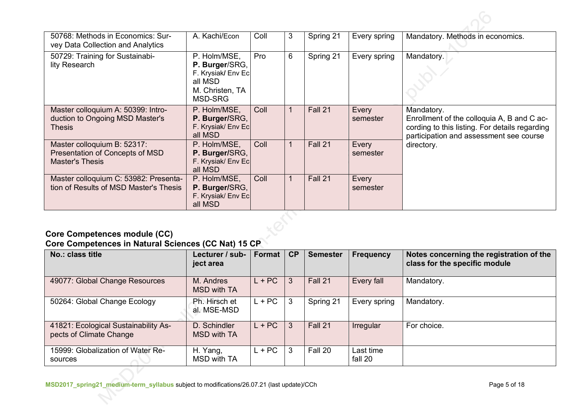| 50768: Methods in Economics: Sur-<br>vey Data Collection and Analytics                   | A. Kachi/Econ                                                                                 | Coll | 3 | Spring 21 | Every spring      | Mandatory. Methods in economics.                                                                                                                      |
|------------------------------------------------------------------------------------------|-----------------------------------------------------------------------------------------------|------|---|-----------|-------------------|-------------------------------------------------------------------------------------------------------------------------------------------------------|
| 50729: Training for Sustainabi-<br>lity Research                                         | P. Holm/MSE,<br>P. Burger/SRG,<br>F. Krysiak/ Env Ec<br>all MSD<br>M. Christen, TA<br>MSD-SRG | Pro  | 6 | Spring 21 | Every spring      | Mandatory.                                                                                                                                            |
| Master colloquium A: 50399: Intro-<br>duction to Ongoing MSD Master's<br><b>Thesis</b>   | P. Holm/MSE,<br>P. Burger/SRG,<br>F. Krysiak/ Env Ec<br>all MSD                               | Coll |   | Fall 21   | Every<br>semester | Mandatory.<br>Enrollment of the colloquia A, B and C ac-<br>cording to this listing. For details regarding<br>participation and assessment see course |
| Master colloquium B: 52317:<br>Presentation of Concepts of MSD<br><b>Master's Thesis</b> | P. Holm/MSE,<br>P. Burger/SRG,<br>F. Krysiak/ Env Ec<br>all MSD                               | Coll |   | Fall 21   | Every<br>semester | directory.                                                                                                                                            |
| Master colloquium C: 53982: Presenta-<br>tion of Results of MSD Master's Thesis          | P. Holm/MSE,<br>P. Burger/SRG,<br>F. Krysiak/ Env Ec<br>all MSD                               | Coll |   | Fall 21   | Every<br>semester |                                                                                                                                                       |
| $\mathbf{1}$ $\mathbf{1}$ $\mathbf{1}$ $\mathbf{2}$ $\mathbf{3}$                         |                                                                                               |      |   |           |                   |                                                                                                                                                       |

# **Core Competences module (CC)**

# **Core Competences in Natural Sciences (CC Nat) 15 CP**

| No.: class title                                                | Lecturer / sub-<br>ject area | Format   | CP | <b>Semester</b> | <b>Frequency</b>     | Notes concerning the registration of the<br>class for the specific module |
|-----------------------------------------------------------------|------------------------------|----------|----|-----------------|----------------------|---------------------------------------------------------------------------|
| 49077: Global Change Resources                                  | M. Andres<br>MSD with TA     | $L + PC$ | 3  | Fall 21         | Every fall           | Mandatory.                                                                |
| 50264: Global Change Ecology                                    | Ph. Hirsch et<br>al. MSE-MSD | $L + PC$ | 3  | Spring 21       | Every spring         | Mandatory.                                                                |
| 41821: Ecological Sustainability As-<br>pects of Climate Change | D. Schindler<br>MSD with TA  | $L + PC$ | 3  | Fall 21         | Irregular            | For choice.                                                               |
| 15999: Globalization of Water Re-<br>sources                    | H. Yang,<br>MSD with TA      | $L + PC$ | 3  | Fall 20         | Last time<br>fall 20 |                                                                           |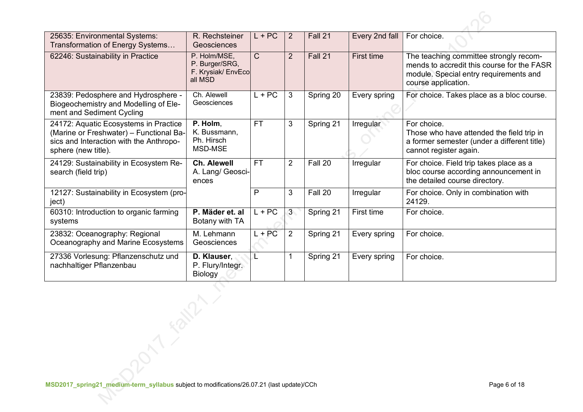| 25635: Environmental Systems:<br>Transformation of Energy Systems                                                                                  | R. Rechsteiner<br>Geosciences                                   | $L + PC$     | $\overline{2}$ | Fall 21   | Every 2nd fall | For choice.                                                                                                                                           |
|----------------------------------------------------------------------------------------------------------------------------------------------------|-----------------------------------------------------------------|--------------|----------------|-----------|----------------|-------------------------------------------------------------------------------------------------------------------------------------------------------|
| 62246: Sustainability in Practice                                                                                                                  | P. Holm/MSE,<br>P. Burger/SRG,<br>F. Krysiak/ EnvEco<br>all MSD | $\mathsf{C}$ | $\overline{2}$ | Fall 21   | First time     | The teaching committee strongly recom-<br>mends to accredit this course for the FASR<br>module. Special entry requirements and<br>course application. |
| 23839: Pedosphere and Hydrosphere -<br>Biogeochemistry and Modelling of Ele-<br>ment and Sediment Cycling                                          | Ch. Alewell<br>Geosciences                                      | $L + PC$     | 3              | Spring 20 | Every spring   | For choice. Takes place as a bloc course.                                                                                                             |
| 24172: Aquatic Ecosystems in Practice<br>(Marine or Freshwater) - Functional Ba-<br>sics and Interaction with the Anthropo-<br>sphere (new title). | P. Holm,<br>K. Bussmann,<br>Ph. Hirsch<br>MSD-MSE               | <b>FT</b>    | 3              | Spring 21 | Irregular      | For choice.<br>Those who have attended the field trip in<br>a former semester (under a different title)<br>cannot register again.                     |
| 24129: Sustainability in Ecosystem Re-<br>search (field trip)                                                                                      | <b>Ch. Alewell</b><br>A. Lang/ Geosci-<br>ences                 | <b>FT</b>    | $\overline{2}$ | Fall 20   | Irregular      | For choice. Field trip takes place as a<br>bloc course according announcement in<br>the detailed course directory.                                    |
| 12127: Sustainability in Ecosystem (pro-<br>ject)                                                                                                  |                                                                 | P            | 3              | Fall 20   | Irregular      | For choice. Only in combination with<br>24129.                                                                                                        |
| 60310: Introduction to organic farming<br>systems                                                                                                  | P. Mäder et. al<br>Botany with TA                               | $L + PC$     | 3 <sub>1</sub> | Spring 21 | First time     | For choice.                                                                                                                                           |
| 23832: Oceanography: Regional<br>Oceanography and Marine Ecosystems                                                                                | M. Lehmann<br>Geosciences                                       | $L + PC$     | $\overline{2}$ | Spring 21 | Every spring   | For choice.                                                                                                                                           |
| 27336 Vorlesung: Pflanzenschutz und<br>nachhaltiger Pflanzenbau                                                                                    | D. Klauser,<br>P. Flury/Integr.<br>Biology                      | Ł.           |                | Spring 21 | Every spring   | For choice.                                                                                                                                           |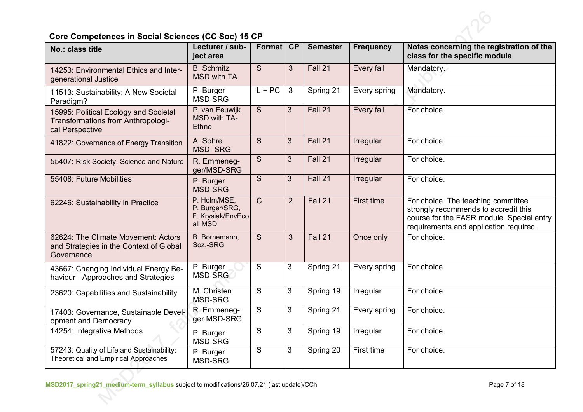

# **Core Competences in Social Sciences (CC Soc) 15 CP**

| No.: class title                                                                               | Lecturer / sub-<br>ject area                                   | <b>Format</b>  | CP             | <b>Semester</b> | <b>Frequency</b> | Notes concerning the registration of the<br>class for the specific module                                                                                         |
|------------------------------------------------------------------------------------------------|----------------------------------------------------------------|----------------|----------------|-----------------|------------------|-------------------------------------------------------------------------------------------------------------------------------------------------------------------|
| 14253: Environmental Ethics and Inter-<br>generational Justice                                 | <b>B.</b> Schmitz<br><b>MSD with TA</b>                        | <sub>S</sub>   | 3              | Fall 21         | Every fall       | Mandatory.                                                                                                                                                        |
| 11513: Sustainability: A New Societal<br>Paradigm?                                             | P. Burger<br><b>MSD-SRG</b>                                    | $L + PC$       | 3              | Spring 21       | Every spring     | Mandatory.                                                                                                                                                        |
| 15995: Political Ecology and Societal<br>Transformations from Anthropologi-<br>cal Perspective | P. van Eeuwijk<br>MSD with TA-<br>Ethno                        | <sub>S</sub>   | 3              | Fall 21         | Every fall       | For choice.                                                                                                                                                       |
| 41822: Governance of Energy Transition                                                         | A. Sohre<br><b>MSD-SRG</b>                                     | S.             | $\mathfrak{S}$ | Fall 21         | Irregular        | For choice.                                                                                                                                                       |
| 55407: Risk Society, Science and Nature                                                        | R. Emmeneg-<br>ger/MSD-SRG                                     | S              | 3              | Fall 21         | Irregular        | For choice.                                                                                                                                                       |
| 55408: Future Mobilities                                                                       | P. Burger<br><b>MSD-SRG</b>                                    | <sub>S</sub>   | 3              | Fall 21         | Irregular        | For choice.                                                                                                                                                       |
| 62246: Sustainability in Practice                                                              | P. Holm/MSE,<br>P. Burger/SRG,<br>F. Krysiak/EnvEco<br>all MSD | $\mathsf{C}$   | $\overline{2}$ | Fall 21         | First time       | For choice. The teaching committee<br>strongly recommends to accredit this<br>course for the FASR module. Special entry<br>requirements and application required. |
| 62624: The Climate Movement: Actors<br>and Strategies in the Context of Global<br>Governance   | B. Bornemann,<br>Soz.-SRG                                      | <sub>S</sub>   | 3              | Fall 21         | Once only        | For choice.                                                                                                                                                       |
| 43667: Changing Individual Energy Be-<br>haviour - Approaches and Strategies                   | P. Burger<br>MSD-SRG                                           | S              | 3              | Spring 21       | Every spring     | For choice.                                                                                                                                                       |
| 23620: Capabilities and Sustainability                                                         | M. Christen<br>MSD-SRG                                         | S              | 3              | Spring 19       | Irregular        | For choice.                                                                                                                                                       |
| 17403: Governance, Sustainable Devel-<br>opment and Democracy                                  | R. Emmeneg-<br>ger MSD-SRG                                     | $\overline{S}$ | 3              | Spring 21       | Every spring     | For choice.                                                                                                                                                       |
| 14254: Integrative Methods                                                                     | P. Burger<br>MSD-SRG                                           | S              | 3              | Spring 19       | Irregular        | For choice.                                                                                                                                                       |
| 57243: Quality of Life and Sustainability:<br><b>Theoretical and Empirical Approaches</b>      | P. Burger<br><b>MSD-SRG</b>                                    | S              | 3              | Spring 20       | First time       | For choice.                                                                                                                                                       |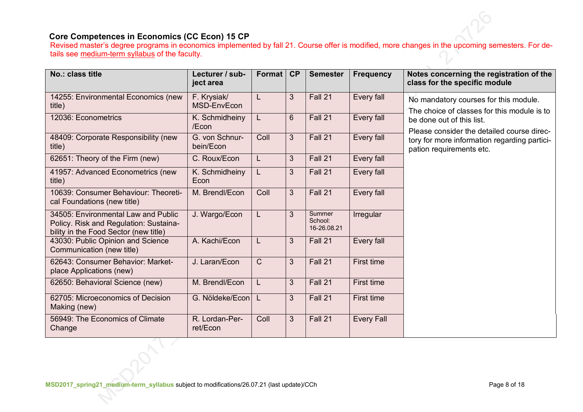### **Core Competences in Economics (CC Econ) 15 CP**

Revised master's degree programs in economics implemented by fall 21. Course offer is modified, more changes in the upcoming semesters. For details see medium-term syllabus of the faculty.

| No.: class title                                                                                                       | Lecturer / sub-<br>ject area | Format       | CP | <b>Semester</b>                  | <b>Frequency</b>  | Notes concerning the registration of the<br>class for the specific module            |
|------------------------------------------------------------------------------------------------------------------------|------------------------------|--------------|----|----------------------------------|-------------------|--------------------------------------------------------------------------------------|
| 14255: Environmental Economics (new<br>title)                                                                          | F. Krysiak/<br>MSD-EnvEcon   | L            | 3  | Fall 21                          | Every fall        | No mandatory courses for this module.<br>The choice of classes for this module is to |
| 12036: Econometrics                                                                                                    | K. Schmidheiny<br>/Econ      | L            | 6  | Fall 21                          | Every fall        | be done out of this list.<br>Please consider the detailed course direc-              |
| 48409: Corporate Responsibility (new<br>title)                                                                         | G. von Schnur-<br>bein/Econ  | Coll         | 3  | Fall 21                          | Every fall        | tory for more information regarding partici-<br>pation requirements etc.             |
| 62651: Theory of the Firm (new)                                                                                        | C. Roux/Econ                 | L            | 3  | Fall 21                          | Every fall        |                                                                                      |
| 41957: Advanced Econometrics (new<br>title)                                                                            | K. Schmidheiny<br>Econ       | L            | 3  | Fall 21                          | Every fall        |                                                                                      |
| 10639: Consumer Behaviour: Theoreti-<br>cal Foundations (new title)                                                    | M. Brendl/Econ               | Coll         | 3  | Fall 21                          | Every fall        |                                                                                      |
| 34505: Environmental Law and Public<br>Policy. Risk and Regulation: Sustaina-<br>bility in the Food Sector (new title) | J. Wargo/Econ                | L            | 3  | Summer<br>School:<br>16-26.08.21 | Irregular         |                                                                                      |
| 43030: Public Opinion and Science<br>Communication (new title)                                                         | A. Kachi/Econ                | L            | 3  | Fall 21                          | Every fall        |                                                                                      |
| 62643: Consumer Behavior: Market-<br>place Applications (new)                                                          | J. Laran/Econ                | $\mathsf{C}$ | 3  | Fall 21                          | <b>First time</b> |                                                                                      |
| 62650: Behavioral Science (new)                                                                                        | M. Brendl/Econ               | L            | 3  | Fall 21                          | <b>First time</b> |                                                                                      |
| 62705: Microeconomics of Decision<br>Making (new)                                                                      | G. Nöldeke/Econ              | L            | 3  | Fall 21                          | <b>First time</b> |                                                                                      |
| 56949: The Economics of Climate<br>Change                                                                              | R. Lordan-Per-<br>ret/Econ   | Coll         | 3  | Fall 21                          | <b>Every Fall</b> |                                                                                      |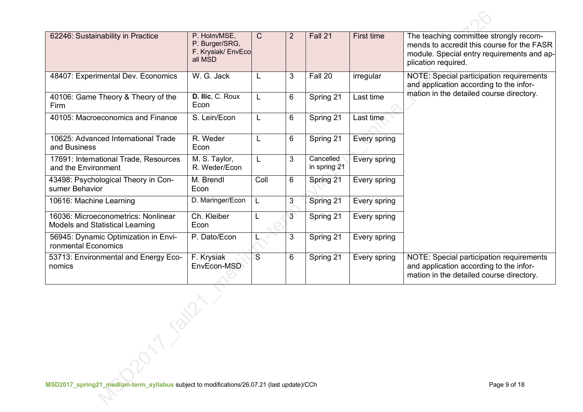| 62246: Sustainability in Practice                                             | P. Holm/MSE,<br>P. Burger/SRG,<br>F. Krysiak/ EnvEco<br>all MSD | $\mathsf{C}$   | 2              | Fall 21                   | First time   | The teaching committee strongly recom-<br>mends to accredit this course for the FASR<br>module. Special entry requirements and ap-<br>plication required. |
|-------------------------------------------------------------------------------|-----------------------------------------------------------------|----------------|----------------|---------------------------|--------------|-----------------------------------------------------------------------------------------------------------------------------------------------------------|
| 48407: Experimental Dev. Economics                                            | W. G. Jack                                                      |                | 3              | Fall 20                   | irregular    | NOTE: Special participation requirements<br>and application according to the infor-                                                                       |
| 40106: Game Theory & Theory of the<br>Firm                                    | D. Ilic, C. Roux<br>Econ                                        |                | 6              | Spring 21                 | Last time    | mation in the detailed course directory.                                                                                                                  |
| 40105: Macroeconomics and Finance                                             | S. Lein/Econ                                                    | L              | 6              | Spring 21                 | Last time    |                                                                                                                                                           |
| 10625: Advanced International Trade<br>and Business                           | R. Weder<br>Econ                                                | L              | 6              | Spring 21                 | Every spring |                                                                                                                                                           |
| 17691: International Trade, Resources<br>and the Environment                  | M. S. Taylor,<br>R. Weder/Econ                                  | L              | 3              | Cancelled<br>in spring 21 | Every spring |                                                                                                                                                           |
| 43498: Psychological Theory in Con-<br>sumer Behavior                         | M. Brendl<br>Econ                                               | Coll           | 6              | Spring 21                 | Every spring |                                                                                                                                                           |
| 10616: Machine Learning                                                       | D. Maringer/Econ                                                | L              | 3              | Spring 21                 | Every spring |                                                                                                                                                           |
| 16036: Microeconometrics: Nonlinear<br><b>Models and Statistical Learning</b> | Ch. Kleiber<br>Econ                                             |                | $\overline{3}$ | Spring 21                 | Every spring |                                                                                                                                                           |
| 56945: Dynamic Optimization in Envi-<br>ronmental Economics                   | P. Dato/Econ                                                    |                | 3              | Spring 21                 | Every spring |                                                                                                                                                           |
| 53713: Environmental and Energy Eco-<br>nomics                                | F. Krysiak<br>EnvEcon-MSD                                       | $\overline{S}$ | 6              | Spring 21                 | Every spring | NOTE: Special participation requirements<br>and application according to the infor-<br>mation in the detailed course directory.                           |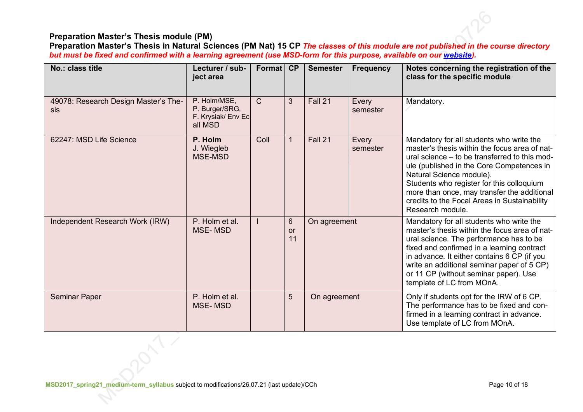### **Preparation Master's Thesis module (PM)**

**Preparation Master's Thesis in Natural Sciences (PM Nat) 15 CP** *The classes of this module are not published in the course directory but must be fixed and confirmed with a learning agreement (use MSD-form for this purpose, available on our website).*

| No.: class title                            | Lecturer / sub-<br>ject area                                    | Format        | CP                                | <b>Semester</b> | <b>Frequency</b>  | Notes concerning the registration of the<br>class for the specific module                                                                                                                                                                                                                                                                                                           |
|---------------------------------------------|-----------------------------------------------------------------|---------------|-----------------------------------|-----------------|-------------------|-------------------------------------------------------------------------------------------------------------------------------------------------------------------------------------------------------------------------------------------------------------------------------------------------------------------------------------------------------------------------------------|
| 49078: Research Design Master's The-<br>sis | P. Holm/MSE,<br>P. Burger/SRG,<br>F. Krysiak/ Env Ec<br>all MSD | $\mathcal{C}$ | $\mathbf{3}$                      | Fall 21         | Every<br>semester | Mandatory.                                                                                                                                                                                                                                                                                                                                                                          |
| 62247: MSD Life Science                     | P. Holm<br>J. Wiegleb<br><b>MSE-MSD</b>                         | Coll          | 1                                 | Fall 21         | Every<br>semester | Mandatory for all students who write the<br>master's thesis within the focus area of nat-<br>ural science – to be transferred to this mod-<br>ule (published in the Core Competences in<br>Natural Science module).<br>Students who register for this colloquium<br>more than once, may transfer the additional<br>credits to the Focal Areas in Sustainability<br>Research module. |
| Independent Research Work (IRW)             | P. Holm et al.<br><b>MSE-MSD</b>                                |               | $6\phantom{1}$<br><b>or</b><br>11 | On agreement    |                   | Mandatory for all students who write the<br>master's thesis within the focus area of nat-<br>ural science. The performance has to be<br>fixed and confirmed in a learning contract<br>in advance. It either contains 6 CP (if you<br>write an additional seminar paper of 5 CP)<br>or 11 CP (without seminar paper). Use<br>template of LC from MOnA.                               |
| <b>Seminar Paper</b>                        | P. Holm et al.<br><b>MSE-MSD</b>                                |               | 5                                 | On agreement    |                   | Only if students opt for the IRW of 6 CP.<br>The performance has to be fixed and con-<br>firmed in a learning contract in advance.<br>Use template of LC from MOnA.                                                                                                                                                                                                                 |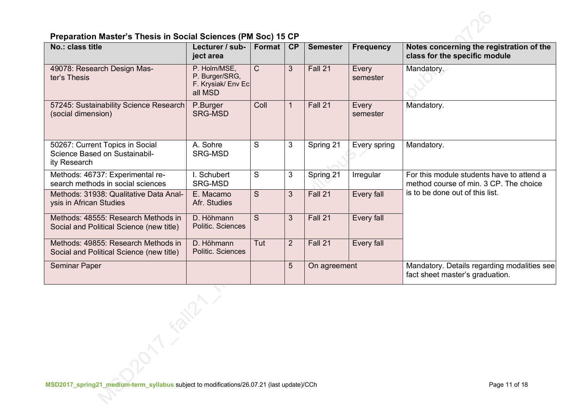

| No.: class title                                                                 | Lecturer / sub-<br>ject area                                    | Format       | CP             | <b>Semester</b> | <b>Frequency</b>  | Notes concerning the registration of the<br>class for the specific module           |
|----------------------------------------------------------------------------------|-----------------------------------------------------------------|--------------|----------------|-----------------|-------------------|-------------------------------------------------------------------------------------|
| 49078: Research Design Mas-<br>ter's Thesis                                      | P. Holm/MSE.<br>P. Burger/SRG,<br>F. Krysiak/ Env Ec<br>all MSD | $\mathsf{C}$ | $\overline{3}$ | Fall 21         | Every<br>semester | Mandatory.                                                                          |
| 57245: Sustainability Science Research<br>(social dimension)                     | P.Burger<br><b>SRG-MSD</b>                                      | Coll         | $\mathbf{1}$   | Fall 21         | Every<br>semester | Mandatory.                                                                          |
| 50267: Current Topics in Social<br>Science Based on Sustainabil-<br>ity Research | A. Sohre<br><b>SRG-MSD</b>                                      | S            | 3              | Spring 21       | Every spring      | Mandatory.                                                                          |
| Methods: 46737: Experimental re-<br>search methods in social sciences            | I. Schubert<br><b>SRG-MSD</b>                                   | S            | 3              | Spring 21       | Irregular         | For this module students have to attend a<br>method course of min. 3 CP. The choice |
| Methods: 31938: Qualitative Data Anal-<br>ysis in African Studies                | E. Macamo<br>Afr. Studies                                       | S            | 3              | Fall 21         | Every fall        | is to be done out of this list.                                                     |
| Methods: 48555: Research Methods in<br>Social and Political Science (new title)  | D. Höhmann<br>Politic. Sciences                                 | <sub>S</sub> | 3              | Fall 21         | Every fall        |                                                                                     |
| Methods: 49855: Research Methods in<br>Social and Political Science (new title)  | D. Höhmann<br>Politic. Sciences                                 | Tut          | $\overline{2}$ | Fall 21         | Every fall        |                                                                                     |
| Seminar Paper                                                                    |                                                                 |              | 5              | On agreement    |                   | Mandatory. Details regarding modalities see<br>fact sheet master's graduation.      |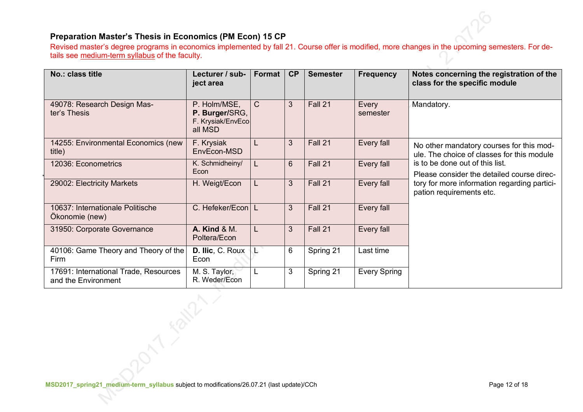### **Preparation Master's Thesis in Economics (PM Econ) 15 CP**

Revised master's degree programs in economics implemented by fall 21. Course offer is modified, more changes in the upcoming semesters. For details see medium-term syllabus of the faculty.

| No.: class title                                             | Lecturer / sub-<br>ject area                                   | Format       | CP               | <b>Semester</b> | <b>Frequency</b>    | Notes concerning the registration of the<br>class for the specific module              |
|--------------------------------------------------------------|----------------------------------------------------------------|--------------|------------------|-----------------|---------------------|----------------------------------------------------------------------------------------|
| 49078: Research Design Mas-<br>ter's Thesis                  | P. Holm/MSE,<br>P. Burger/SRG,<br>F. Krysiak/EnvEco<br>all MSD | $\mathsf{C}$ | 3                | Fall 21         | Every<br>semester   | Mandatory.                                                                             |
| 14255: Environmental Economics (new<br>title)                | F. Krysiak<br>EnvEcon-MSD                                      |              | 3                | Fall 21         | Every fall          | No other mandatory courses for this mod-<br>ule. The choice of classes for this module |
| 12036: Econometrics                                          | K. Schmidheiny/<br>Econ                                        |              | $6 \overline{6}$ | Fall 21         | Every fall          | is to be done out of this list.<br>Please consider the detailed course direc-          |
| 29002: Electricity Markets                                   | H. Weigt/Econ                                                  |              | 3                | Fall 21         | Every fall          | tory for more information regarding partici-<br>pation requirements etc.               |
| 10637: Internationale Politische<br>Ökonomie (new)           | C. Hefeker/Econ   L                                            |              | 3                | Fall 21         | Every fall          |                                                                                        |
| 31950: Corporate Governance                                  | <b>A. Kind &amp; M.</b><br>Poltera/Econ                        |              | 3                | Fall 21         | Every fall          |                                                                                        |
| 40106: Game Theory and Theory of the<br>Firm                 | D. Ilic, C. Roux<br>Econ                                       |              | 6                | Spring 21       | Last time           |                                                                                        |
| 17691: International Trade, Resources<br>and the Environment | M. S. Taylor,<br>R. Weder/Econ                                 |              | 3                | Spring 21       | <b>Every Spring</b> |                                                                                        |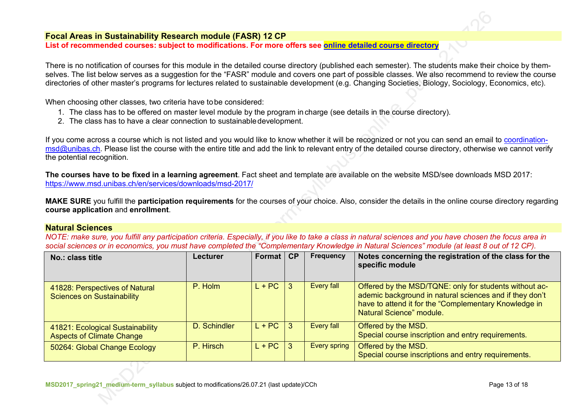#### **Focal Areas in Sustainability Research module (FASR) 12 CP**

**List of recommended courses: subject to modifications. For more offers see online detailed course directory**

There is no notification of courses for this module in the detailed course directory (published each semester). The students make their choice by themselves. The list below serves as a suggestion for the "FASR" module and covers one part of possible classes. We also recommend to review the course directories of other master's programs for lectures related to sustainable development (e.g. Changing Societies, Biology, Sociology, Economics, etc).

When choosing other classes, two criteria have tobe considered:

- 1. The class has to be offered on master level module by the program in charge (see details in the course directory).
- 2. The class has to have a clear connection to sustainabledevelopment.

If you come across a course which is not listed and you would like to know whether it will be recognized or not you can send an email to coordination- $\text{msd@unibas.ch.}$  Please list the course with the entire title and add the link to relevant entry of the detailed course directory, otherwise we cannot verify the potential recognition.

**The courses have to be fixed in a learning agreement**. Fact sheet and template are available on the website MSD/see downloads MSD 2017: https://www.msd.unibas.ch/en/services/downloads/msd-2017/

**MAKE SURE** you fulfill the **participation requirements** for the courses of your choice. Also, consider the details in the online course directory regarding **course application** and **enrollment**.

#### **Natural Sciences**

*NOTE: make sure, you fulfill any participation criteria. Especially, if you like to take a class in natural sciences and you have chosen the focus area in* social sciences or in economics, you must have completed the "Complementary Knowledge in Natural Sciences" module (at least 8 out of 12 CP).

| No.: class title                                                     | Lecturer     | Format   | CP | Frequency           | Notes concerning the registration of the class for the<br>specific module                                                                                                                              |
|----------------------------------------------------------------------|--------------|----------|----|---------------------|--------------------------------------------------------------------------------------------------------------------------------------------------------------------------------------------------------|
| 41828: Perspectives of Natural<br><b>Sciences on Sustainability</b>  | P. Holm      | $L + PC$ | 3  | Every fall          | Offered by the MSD/TQNE: only for students without ac-<br>ademic background in natural sciences and if they don't<br>have to attend it for the "Complementary Knowledge in<br>Natural Science" module. |
| 41821: Ecological Sustainability<br><b>Aspects of Climate Change</b> | D. Schindler | $L + PC$ | 3  | <b>Every fall</b>   | Offered by the MSD.<br>Special course inscription and entry requirements.                                                                                                                              |
| 50264: Global Change Ecology                                         | P. Hirsch    | $L + PC$ | -3 | <b>Every spring</b> | Offered by the MSD.<br>Special course inscriptions and entry requirements.                                                                                                                             |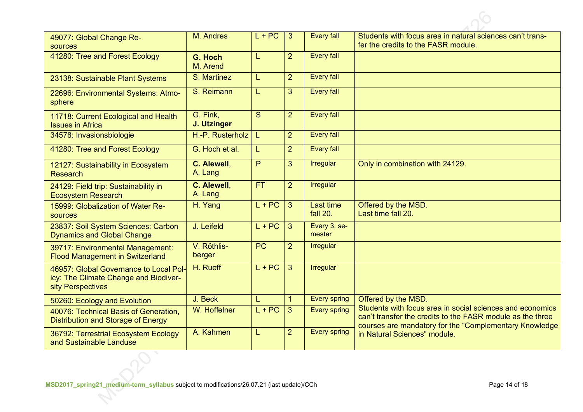| 49077: Global Change Re-<br>sources                                                                  | M. Andres               | $L + PC$        | 3              | <b>Every fall</b>            | Students with focus area in natural sciences can't trans-<br>fer the credits to the FASR module.                                                                                  |
|------------------------------------------------------------------------------------------------------|-------------------------|-----------------|----------------|------------------------------|-----------------------------------------------------------------------------------------------------------------------------------------------------------------------------------|
| 41280: Tree and Forest Ecology                                                                       | G. Hoch<br>M. Arend     | L               | $\overline{2}$ | <b>Every fall</b>            |                                                                                                                                                                                   |
| 23138: Sustainable Plant Systems                                                                     | S. Martinez             | L               | $\overline{2}$ | <b>Every fall</b>            |                                                                                                                                                                                   |
| 22696: Environmental Systems: Atmo-<br>sphere                                                        | S. Reimann              | L               | 3              | <b>Every fall</b>            |                                                                                                                                                                                   |
| 11718: Current Ecological and Health<br><b>Issues in Africa</b>                                      | G. Fink,<br>J. Utzinger | S               | $\overline{2}$ | <b>Every fall</b>            |                                                                                                                                                                                   |
| 34578: Invasionsbiologie                                                                             | H.-P. Rusterholz        | L               | $\overline{2}$ | <b>Every fall</b>            |                                                                                                                                                                                   |
| 41280: Tree and Forest Ecology                                                                       | G. Hoch et al.          | L               | $\overline{2}$ | <b>Every fall</b>            |                                                                                                                                                                                   |
| 12127: Sustainability in Ecosystem<br><b>Research</b>                                                | C. Alewell,<br>A. Lang  | P               | 3              | <b>Irregular</b>             | Only in combination with 24129.                                                                                                                                                   |
| 24129: Field trip: Sustainability in<br><b>Ecosystem Research</b>                                    | C. Alewell,<br>A. Lang  | <b>FT</b>       | $\overline{2}$ | Irregular                    |                                                                                                                                                                                   |
| 15999: Globalization of Water Re-<br>sources                                                         | H. Yang                 | $L + PC$        | 3              | <b>Last time</b><br>fall 20. | Offered by the MSD.<br>Last time fall 20.                                                                                                                                         |
| 23837: Soil System Sciences: Carbon<br><b>Dynamics and Global Change</b>                             | J. Leifeld              | $L + PC$        | 3              | Every 3. se-<br>mester       |                                                                                                                                                                                   |
| 39717: Environmental Management:<br><b>Flood Management in Switzerland</b>                           | V. Röthlis-<br>berger   | $\overline{PC}$ | $\overline{2}$ | <b>Irregular</b>             |                                                                                                                                                                                   |
| 46957: Global Governance to Local Pol-<br>icy: The Climate Change and Biodiver-<br>sity Perspectives | H. Rueff                | $L + PC$        | 3              | <b>Irregular</b>             |                                                                                                                                                                                   |
| 50260: Ecology and Evolution                                                                         | J. Beck                 |                 | 1              | <b>Every spring</b>          | Offered by the MSD.                                                                                                                                                               |
| 40076: Technical Basis of Generation,<br>Distribution and Storage of Energy                          | W. Hoffelner            | $L + PC$        | 3              | <b>Every spring</b>          | Students with focus area in social sciences and economics<br>can't transfer the credits to the FASR module as the three<br>courses are mandatory for the "Complementary Knowledge |
| 36792: Terrestrial Ecosystem Ecology<br>and Sustainable Landuse                                      | A. Kahmen               | L               | $\overline{2}$ | <b>Every spring</b>          | in Natural Sciences" module.                                                                                                                                                      |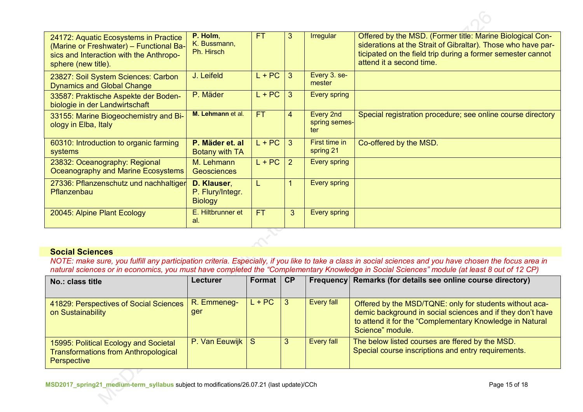| 24172: Aquatic Ecosystems in Practice<br>(Marine or Freshwater) - Functional Ba-<br>sics and Interaction with the Anthropo-<br>sphere (new title). | P. Holm,<br>K. Bussmann,<br>Ph. Hirsch            | FT.       | 3 | <b>Irregular</b>                  | Offered by the MSD. (Former title: Marine Biological Con-<br>siderations at the Strait of Gibraltar). Those who have par-<br>ticipated on the field trip during a former semester cannot<br>attend it a second time. |
|----------------------------------------------------------------------------------------------------------------------------------------------------|---------------------------------------------------|-----------|---|-----------------------------------|----------------------------------------------------------------------------------------------------------------------------------------------------------------------------------------------------------------------|
| 23827: Soil System Sciences: Carbon<br><b>Dynamics and Global Change</b>                                                                           | J. Leifeld                                        | $L + PC$  | 3 | Every 3. se-<br>mester            |                                                                                                                                                                                                                      |
| 33587: Praktische Aspekte der Boden-<br>biologie in der Landwirtschaft                                                                             | P. Mäder                                          | $L + PC$  | 3 | Every spring                      |                                                                                                                                                                                                                      |
| 33155: Marine Biogeochemistry and Bi-<br>ology in Elba, Italy                                                                                      | M. Lehmann et al.                                 | <b>FT</b> | 4 | Every 2nd<br>spring semes-<br>ter | Special registration procedure; see online course directory                                                                                                                                                          |
| 60310: Introduction to organic farming<br>systems                                                                                                  | P. Mäder et. al<br>Botany with TA                 | $L + PC$  | 3 | First time in<br>spring 21        | Co-offered by the MSD.                                                                                                                                                                                               |
| 23832: Oceanography: Regional<br>Oceanography and Marine Ecosystems                                                                                | M. Lehmann<br><b>Geosciences</b>                  | $L + PC$  | 2 | <b>Every spring</b>               |                                                                                                                                                                                                                      |
| 27336: Pflanzenschutz und nachhaltiger<br>Pflanzenbau                                                                                              | D. Klauser,<br>P. Flury/Integr.<br><b>Biology</b> | L         |   | Every spring                      |                                                                                                                                                                                                                      |
| 20045: Alpine Plant Ecology                                                                                                                        | E. Hiltbrunner et<br>al.                          | <b>FT</b> | 3 | Every spring                      |                                                                                                                                                                                                                      |

### **Social Sciences**

*NOTE: make sure, you fulfill any participation criteria. Especially, if you like to take a class in social sciences and you have chosen the focus area in natural sciences or in economics, you must have completed the "Complementary Knowledge in Social Sciences" module (at least 8 out of 12 CP)*

| No.: class title                                                                                    | <b>Lecturer</b>         | Format   | <b>CP</b> |            | Frequency Remarks (for details see online course directory)                                                                                                                                           |
|-----------------------------------------------------------------------------------------------------|-------------------------|----------|-----------|------------|-------------------------------------------------------------------------------------------------------------------------------------------------------------------------------------------------------|
| 41829: Perspectives of Social Sciences<br>on Sustainability                                         | R. Emmeneg-<br>ger      | $L + PC$ |           | Every fall | Offered by the MSD/TQNE: only for students without aca-<br>demic background in social sciences and if they don't have<br>to attend it for the "Complementary Knowledge in Natural<br>Science" module. |
| 15995: Political Ecology and Societal<br><b>Transformations from Anthropological</b><br>Perspective | <b>P. Van Eeuwijk S</b> |          |           | Every fall | The below listed courses are ffered by the MSD.<br>Special course inscriptions and entry requirements.                                                                                                |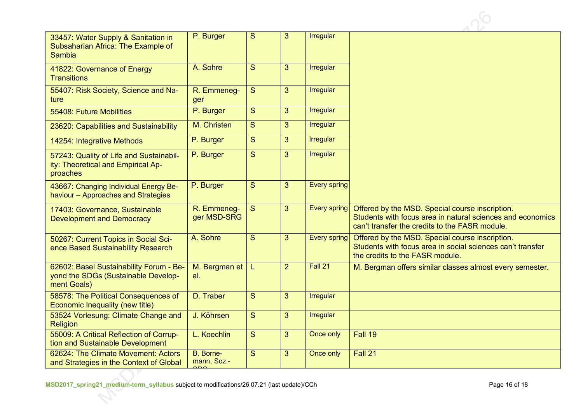| 33457: Water Supply & Sanitation in<br>Subsaharian Africa: The Example of                     | P. Burger                  | S              | 3              | Irregular           |                                                                                                                                                                 |
|-----------------------------------------------------------------------------------------------|----------------------------|----------------|----------------|---------------------|-----------------------------------------------------------------------------------------------------------------------------------------------------------------|
| <b>Sambia</b>                                                                                 |                            |                |                |                     |                                                                                                                                                                 |
| 41822: Governance of Energy<br><b>Transitions</b>                                             | A. Sohre                   | S              | 3              | Irregular           |                                                                                                                                                                 |
| 55407: Risk Society, Science and Na-<br>ture                                                  | R. Emmeneg-<br>ger         | S              | $\overline{3}$ | Irregular           |                                                                                                                                                                 |
| 55408: Future Mobilities                                                                      | P. Burger                  | S              | $\overline{3}$ | Irregular           |                                                                                                                                                                 |
| 23620: Capabilities and Sustainability                                                        | M. Christen                | S              | 3 <sup>5</sup> | Irregular           |                                                                                                                                                                 |
| 14254: Integrative Methods                                                                    | P. Burger                  | $\overline{S}$ | $\overline{3}$ | Irregular           |                                                                                                                                                                 |
| 57243: Quality of Life and Sustainabil-<br>ity: Theoretical and Empirical Ap-<br>proaches     | P. Burger                  | S              | 3              | Irregular           |                                                                                                                                                                 |
| 43667: Changing Individual Energy Be-<br>haviour - Approaches and Strategies                  | P. Burger                  | S              | $\overline{3}$ | <b>Every spring</b> |                                                                                                                                                                 |
| 17403: Governance, Sustainable<br><b>Development and Democracy</b>                            | R. Emmeneg-<br>ger MSD-SRG | $\overline{S}$ | $\overline{3}$ | Every spring        | Offered by the MSD. Special course inscription.<br>Students with focus area in natural sciences and economics<br>can't transfer the credits to the FASR module. |
| 50267: Current Topics in Social Sci-<br>ence Based Sustainability Research                    | A. Sohre                   | S              | 3 <sup>5</sup> | Every spring        | Offered by the MSD. Special course inscription.<br>Students with focus area in social sciences can't transfer<br>the credits to the FASR module.                |
| 62602: Basel Sustainability Forum - Be-<br>yond the SDGs (Sustainable Develop-<br>ment Goals) | M. Bergman et<br>al.       | L.             | $\overline{2}$ | Fall 21             | M. Bergman offers similar classes almost every semester.                                                                                                        |
| 58578: The Political Consequences of<br>Economic Inequality (new title)                       | D. Traber                  | S              | $\overline{3}$ | Irregular           |                                                                                                                                                                 |
| 53524 Vorlesung: Climate Change and<br>Religion                                               | J. Köhrsen                 | $\overline{S}$ | 3              | Irregular           |                                                                                                                                                                 |
| 55009: A Critical Reflection of Corrup-<br>tion and Sustainable Development                   | L. Koechlin                | S              | $\overline{3}$ | Once only           | Fall 19                                                                                                                                                         |
| 62624: The Climate Movement: Actors<br>and Strategies in the Context of Global                | B. Borne-<br>mann, Soz.-   | S              | 3              | Once only           | Fall 21                                                                                                                                                         |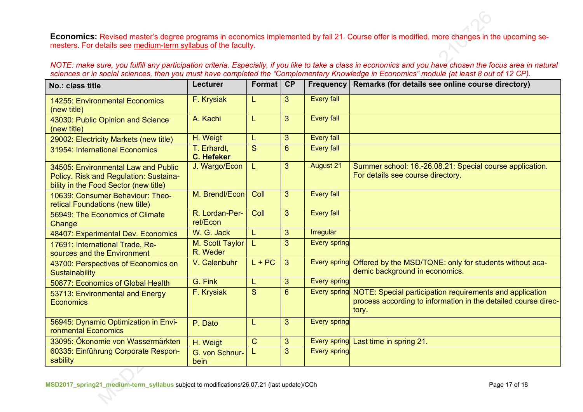**Economics:** Revised master's degree programs in economics implemented by fall 21. Course offer is modified, more changes in the upcoming semesters. For details see medium-term syllabus of the faculty.

*NOTE: make sure, you fulfill any participation criteria. Especially, if you like to take a class in economics and you have chosen the focus area in natural*  sciences or in social sciences, then you must have completed the "Complementary Knowledge in Economics" module (at least 8 out of 12 CP).

| No.: class title                                                                                                       | <b>Lecturer</b>                  | <b>Format</b> | CP             | <b>Frequency</b>    | Remarks (for details see online course directory)                                                                                   |
|------------------------------------------------------------------------------------------------------------------------|----------------------------------|---------------|----------------|---------------------|-------------------------------------------------------------------------------------------------------------------------------------|
| 14255: Environmental Economics<br>(new title)                                                                          | F. Krysiak                       |               | 3              | <b>Every fall</b>   |                                                                                                                                     |
| 43030: Public Opinion and Science<br>(new title)                                                                       | A. Kachi                         | L             | 3              | <b>Every fall</b>   |                                                                                                                                     |
| 29002: Electricity Markets (new title)                                                                                 | H. Weigt                         |               | 3              | <b>Every fall</b>   |                                                                                                                                     |
| 31954: International Economics                                                                                         | T. Erhardt,<br><b>C. Hefeker</b> | S             | 6              | <b>Every fall</b>   |                                                                                                                                     |
| 34505: Environmental Law and Public<br>Policy. Risk and Regulation: Sustaina-<br>bility in the Food Sector (new title) | J. Wargo/Econ                    | L             | 3              | <b>August 21</b>    | Summer school: 16.-26.08.21: Special course application.<br>For details see course directory.                                       |
| 10639: Consumer Behaviour: Theo-<br>retical Foundations (new title)                                                    | M. Brendl/Econ                   | Coll          | 3 <sup>5</sup> | <b>Every fall</b>   |                                                                                                                                     |
| 56949: The Economics of Climate<br>Change                                                                              | R. Lordan-Per-<br>ret/Econ       | Coll          | 3              | <b>Every fall</b>   |                                                                                                                                     |
| 48407: Experimental Dev. Economics                                                                                     | W. G. Jack                       | L             | 3              | <b>Irregular</b>    |                                                                                                                                     |
| 17691: International Trade, Re-<br>sources and the Environment                                                         | M. Scott Taylor<br>R. Weder      |               | 3              | <b>Every spring</b> |                                                                                                                                     |
| 43700: Perspectives of Economics on<br><b>Sustainability</b>                                                           | V. Calenbuhr                     | $L + PC$      | 3              | <b>Every spring</b> | Offered by the MSD/TQNE: only for students without aca-<br>demic background in economics.                                           |
| 50877: Economics of Global Health                                                                                      | G. Fink                          |               | 3              | <b>Every spring</b> |                                                                                                                                     |
| 53713: Environmental and Energy<br><b>Economics</b>                                                                    | F. Krysiak                       | S             | $6\phantom{1}$ | Every spring        | NOTE: Special participation requirements and application<br>process according to information in the detailed course direc-<br>tory. |
| 56945: Dynamic Optimization in Envi-<br>ronmental Economics                                                            | P. Dato                          |               | 3              | <b>Every spring</b> |                                                                                                                                     |
| 33095: Ökonomie von Wassermärkten                                                                                      | H. Weigt                         | $\mathsf{C}$  | 3              |                     | Every spring Last time in spring 21.                                                                                                |
| 60335: Einführung Corporate Respon-<br>sability                                                                        | G. von Schnur-<br>bein           |               | 3              | <b>Every spring</b> |                                                                                                                                     |